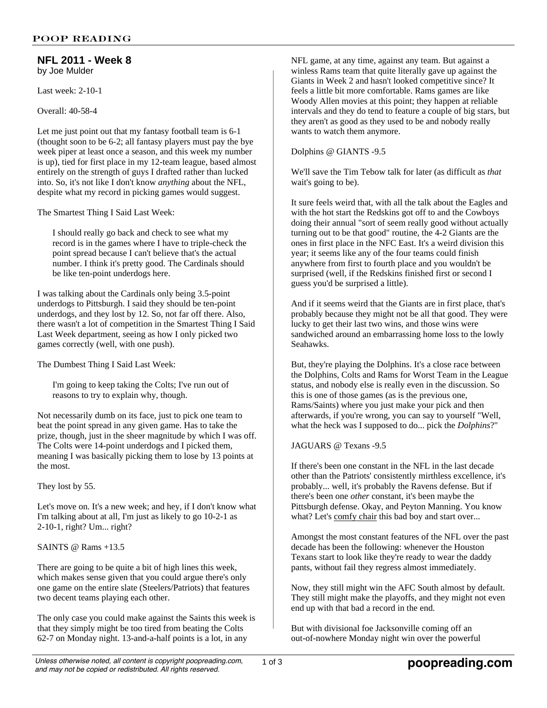#### **NFL 2011 - Week 8** by Joe Mulder

Last week: 2-10-1

Overall: 40-58-4

Let me just point out that my fantasy football team is 6-1 (thought soon to be 6-2; all fantasy players must pay the bye week piper at least once a season, and this week my number is up), tied for first place in my 12-team league, based almost entirely on the strength of guys I drafted rather than lucked into. So, it's not like I don't know *anything* about the NFL, despite what my record in picking games would suggest.

The Smartest Thing I Said Last Week:

I should really go back and check to see what my record is in the games where I have to triple-check the point spread because I can't believe that's the actual number. I think it's pretty good. The Cardinals should be like ten-point underdogs here.

I was talking about the Cardinals only being 3.5-point underdogs to Pittsburgh. I said they should be ten-point underdogs, and they lost by 12. So, not far off there. Also, there wasn't a lot of competition in the Smartest Thing I Said Last Week department, seeing as how I only picked two games correctly (well, with one push).

The Dumbest Thing I Said Last Week:

I'm going to keep taking the Colts; I've run out of reasons to try to explain why, though.

Not necessarily dumb on its face, just to pick one team to beat the point spread in any given game. Has to take the prize, though, just in the sheer magnitude by which I was off. The Colts were 14-point underdogs and I picked them, meaning I was basically picking them to lose by 13 points at the most.

They lost by 55.

Let's move on. It's a new week; and hey, if I don't know what I'm talking about at all, I'm just as likely to go 10-2-1 as 2-10-1, right? Um... right?

SAINTS @ Rams +13.5

There are going to be quite a bit of high lines this week, which makes sense given that you could argue there's only one game on the entire slate (Steelers/Patriots) that features two decent teams playing each other.

The only case you could make against the Saints this week is that they simply might be too tired from beating the Colts 62-7 on Monday night. 13-and-a-half points is a lot, in any

NFL game, at any time, against any team. But against a winless Rams team that quite literally gave up against the Giants in Week 2 and hasn't looked competitive since? It feels a little bit more comfortable. Rams games are like Woody Allen movies at this point; they happen at reliable intervals and they do tend to feature a couple of big stars, but they aren't as good as they used to be and nobody really wants to watch them anymore.

Dolphins @ GIANTS -9.5

We'll save the Tim Tebow talk for later (as difficult as *that* wait's going to be).

It sure feels weird that, with all the talk about the Eagles and with the hot start the Redskins got off to and the Cowboys doing their annual "sort of seem really good without actually turning out to be that good" routine, the 4-2 Giants are the ones in first place in the NFC East. It's a weird division this year; it seems like any of the four teams could finish anywhere from first to fourth place and you wouldn't be surprised (well, if the Redskins finished first or second I guess you'd be surprised a little).

And if it seems weird that the Giants are in first place, that's probably because they might not be all that good. They were lucky to get their last two wins, and those wins were sandwiched around an embarrassing home loss to the lowly Seahawks.

But, they're playing the Dolphins. It's a close race between the Dolphins, Colts and Rams for Worst Team in the League status, and nobody else is really even in the discussion. So this is one of those games (as is the previous one, Rams/Saints) where you just make your pick and then afterwards, if you're wrong, you can say to yourself "Well, what the heck was I supposed to do... pick the *Dolphins*?"

# JAGUARS @ Texans -9.5

If there's been one constant in the NFL in the last decade other than the Patriots' consistently mirthless excellence, it's probably... well, it's probably the Ravens defense. But if there's been one *other* constant, it's been maybe the Pittsburgh defense. Okay, and Peyton Manning. You know what? Let's comfy chair this bad boy and start over...

Amongst the most constant features of the NFL over the past decade has been the following: whenever the Houston Texans start to look like they're ready to wear the daddy pants, without fail they regress almost immediately.

Now, they still might win the AFC South almost by default. They still might make the playoffs, and they might not even end up with that bad a record in the end.

But with divisional foe Jacksonville coming off an out-of-nowhere Monday night win over the powerful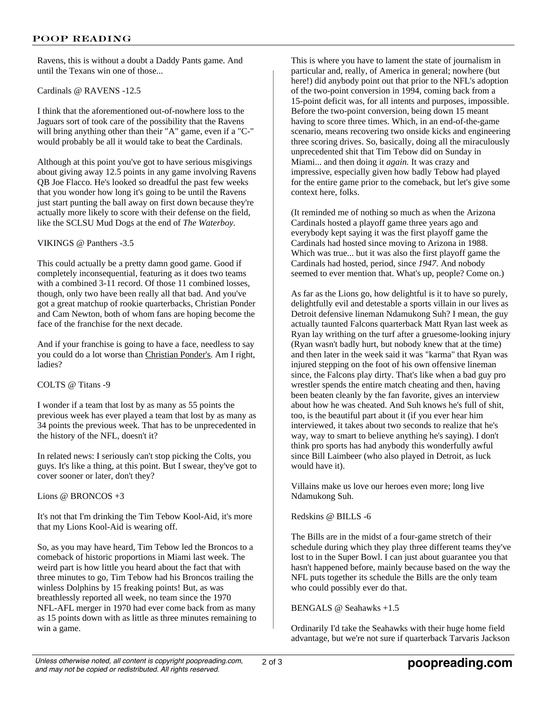Ravens, this is without a doubt a Daddy Pants game. And until the Texans win one of those...

Cardinals @ RAVENS -12.5

I think that the aforementioned out-of-nowhere loss to the Jaguars sort of took care of the possibility that the Ravens will bring anything other than their "A" game, even if a "C-" would probably be all it would take to beat the Cardinals.

Although at this point you've got to have serious misgivings about giving away 12.5 points in any game involving Ravens QB Joe Flacco. He's looked so dreadful the past few weeks that you wonder how long it's going to be until the Ravens just start punting the ball away on first down because they're actually more likely to score with their defense on the field, like the SCLSU Mud Dogs at the end of *The Waterboy.*

### VIKINGS @ Panthers -3.5

This could actually be a pretty damn good game. Good if completely inconsequential, featuring as it does two teams with a combined 3-11 record. Of those 11 combined losses, though, only two have been really all that bad. And you've got a great matchup of rookie quarterbacks, Christian Ponder and Cam Newton, both of whom fans are hoping become the face of the franchise for the next decade.

And if your franchise is going to have a face, needless to say you could do a lot worse than Christian Ponder's. Am I right, ladies?

COLTS @ Titans -9

I wonder if a team that lost by as many as 55 points the previous week has ever played a team that lost by as many as 34 points the previous week. That has to be unprecedented in the history of the NFL, doesn't it?

In related news: I seriously can't stop picking the Colts, you guys. It's like a thing, at this point. But I swear, they've got to cover sooner or later, don't they?

Lions @ BRONCOS +3

It's not that I'm drinking the Tim Tebow Kool-Aid, it's more that my Lions Kool-Aid is wearing off.

So, as you may have heard, Tim Tebow led the Broncos to a comeback of historic proportions in Miami last week. The weird part is how little you heard about the fact that with three minutes to go, Tim Tebow had his Broncos trailing the winless Dolphins by 15 freaking points! But, as was breathlessly reported all week, no team since the 1970 NFL-AFL merger in 1970 had ever come back from as many as 15 points down with as little as three minutes remaining to win a game.

This is where you have to lament the state of journalism in particular and, really, of America in general; nowhere (but here!) did anybody point out that prior to the NFL's adoption of the two-point conversion in 1994, coming back from a 15-point deficit was, for all intents and purposes, impossible. Before the two-point conversion, being down 15 meant having to score three times. Which, in an end-of-the-game scenario, means recovering two onside kicks and engineering three scoring drives. So, basically, doing all the miraculously unprecedented shit that Tim Tebow did on Sunday in Miami... and then doing it *again.* It was crazy and impressive, especially given how badly Tebow had played for the entire game prior to the comeback, but let's give some context here, folks.

(It reminded me of nothing so much as when the Arizona Cardinals hosted a playoff game three years ago and everybody kept saying it was the first playoff game the Cardinals had hosted since moving to Arizona in 1988. Which was true... but it was also the first playoff game the Cardinals had hosted, period, since *1947*. And nobody seemed to ever mention that. What's up, people? Come on.)

As far as the Lions go, how delightful is it to have so purely, delightfully evil and detestable a sports villain in our lives as Detroit defensive lineman Ndamukong Suh? I mean, the guy actually taunted Falcons quarterback Matt Ryan last week as Ryan lay writhing on the turf after a gruesome-looking injury (Ryan wasn't badly hurt, but nobody knew that at the time) and then later in the week said it was "karma" that Ryan was injured stepping on the foot of his own offensive lineman since, the Falcons play dirty. That's like when a bad guy pro wrestler spends the entire match cheating and then, having been beaten cleanly by the fan favorite, gives an interview about how he was cheated. And Suh knows he's full of shit, too, is the beautiful part about it (if you ever hear him interviewed, it takes about two seconds to realize that he's way, way to smart to believe anything he's saying). I don't think pro sports has had anybody this wonderfully awful since Bill Laimbeer (who also played in Detroit, as luck would have it).

Villains make us love our heroes even more; long live Ndamukong Suh.

Redskins @ BILLS -6

The Bills are in the midst of a four-game stretch of their schedule during which they play three different teams they've lost to in the Super Bowl. I can just about guarantee you that hasn't happened before, mainly because based on the way the NFL puts together its schedule the Bills are the only team who could possibly ever do that.

### BENGALS @ Seahawks +1.5

Ordinarily I'd take the Seahawks with their huge home field advantage, but we're not sure if quarterback Tarvaris Jackson